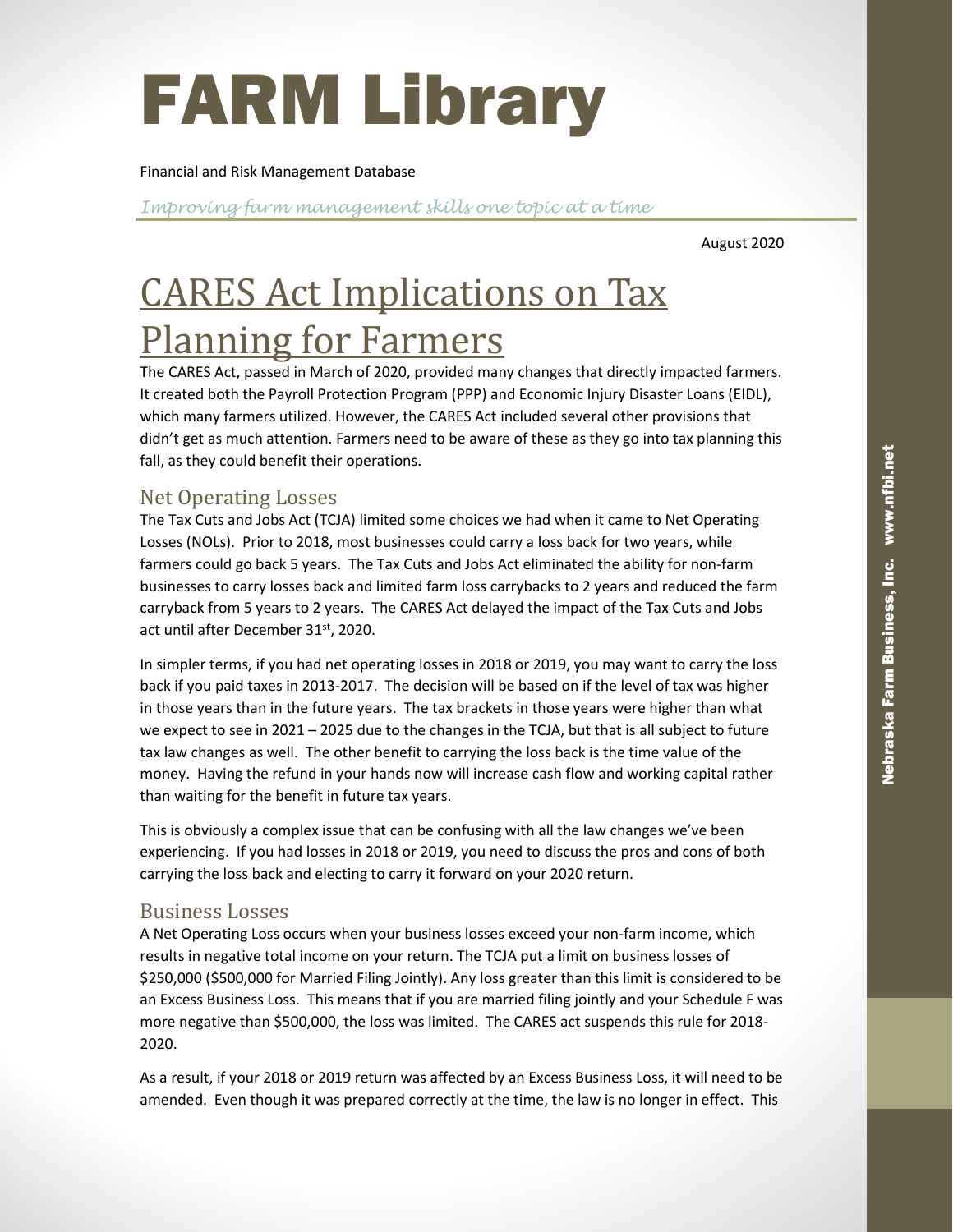# FARM Library

#### Financial and Risk Management Database

Improving farm management skills one topic at a time

August 2020

# CARES Act Implications on Tax Planning for Farmers

The CARES Act, passed in March of 2020, provided many changes that directly impacted farmers. It created both the Payroll Protection Program (PPP) and Economic Injury Disaster Loans (EIDL), which many farmers utilized. However, the CARES Act included several other provisions that didn't get as much attention. Farmers need to be aware of these as they go into tax planning this fall, as they could benefit their operations.

### Net Operating Losses

The Tax Cuts and Jobs Act (TCJA) limited some choices we had when it came to Net Operating Losses (NOLs). Prior to 2018, most businesses could carry a loss back for two years, while farmers could go back 5 years. The Tax Cuts and Jobs Act eliminated the ability for non-farm businesses to carry losses back and limited farm loss carrybacks to 2 years and reduced the farm carryback from 5 years to 2 years. The CARES Act delayed the impact of the Tax Cuts and Jobs act until after December 31st, 2020.

In simpler terms, if you had net operating losses in 2018 or 2019, you may want to carry the loss back if you paid taxes in 2013-2017. The decision will be based on if the level of tax was higher in those years than in the future years. The tax brackets in those years were higher than what we expect to see in 2021 – 2025 due to the changes in the TCJA, but that is all subject to future tax law changes as well. The other benefit to carrying the loss back is the time value of the money. Having the refund in your hands now will increase cash flow and working capital rather than waiting for the benefit in future tax years.

This is obviously a complex issue that can be confusing with all the law changes we've been experiencing. If you had losses in 2018 or 2019, you need to discuss the pros and cons of both carrying the loss back and electing to carry it forward on your 2020 return.

#### Business Losses

A Net Operating Loss occurs when your business losses exceed your non-farm income, which results in negative total income on your return. The TCJA put a limit on business losses of \$250,000 (\$500,000 for Married Filing Jointly). Any loss greater than this limit is considered to be an Excess Business Loss. This means that if you are married filing jointly and your Schedule F was more negative than \$500,000, the loss was limited. The CARES act suspends this rule for 2018- 2020.

As a result, if your 2018 or 2019 return was affected by an Excess Business Loss, it will need to be amended. Even though it was prepared correctly at the time, the law is no longer in effect. This